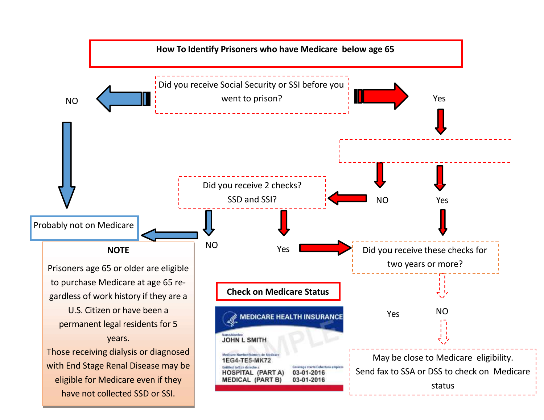